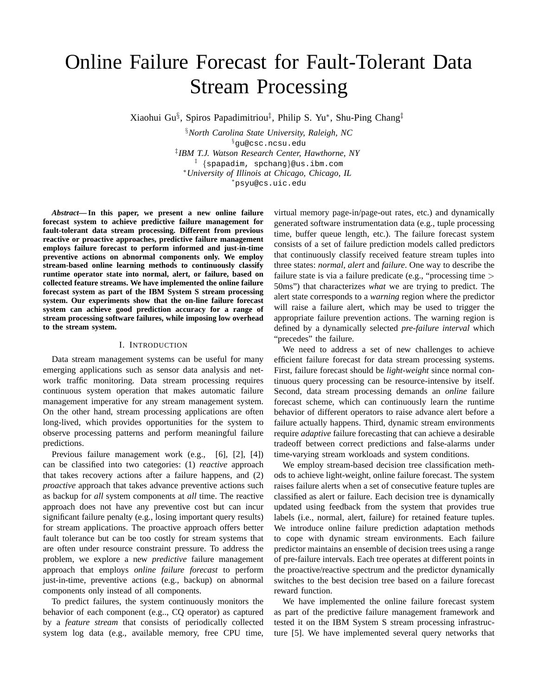# Online Failure Forecast for Fault-Tolerant Data Stream Processing

Xiaohui Gu<sup>§</sup>, Spiros Papadimitriou<sup>‡</sup>, Philip S. Yu\*, Shu-Ping Chang<sup>‡</sup>

§*North Carolina State University, Raleigh, NC* §gu@csc.ncsu.edu ‡ *IBM T.J. Watson Research Center, Hawthorne, NY* ‡ {spapadim, spchang}@us.ibm.com <sup>∗</sup>*University of Illinois at Chicago, Chicago, IL* <sup>∗</sup>psyu@cs.uic.edu

*Abstract***— In this paper, we present a new online failure forecast system to achieve predictive failure management for fault-tolerant data stream processing. Different from previous reactive or proactive approaches, predictive failure management employs failure forecast to perform informed and just-in-time preventive actions on abnormal components only. We employ stream-based online learning methods to continuously classify runtime operator state into normal, alert, or failure, based on collected feature streams. We have implemented the online failure forecast system as part of the IBM System S stream processing system. Our experiments show that the on-line failure forecast system can achieve good prediction accuracy for a range of stream processing software failures, while imposing low overhead to the stream system.**

#### I. INTRODUCTION

Data stream management systems can be useful for many emerging applications such as sensor data analysis and network traffic monitoring. Data stream processing requires continuous system operation that makes automatic failure management imperative for any stream management system. On the other hand, stream processing applications are often long-lived, which provides opportunities for the system to observe processing patterns and perform meaningful failure predictions.

Previous failure management work (e.g., [6], [2], [4]) can be classified into two categories: (1) *reactive* approach that takes recovery actions after a failure happens, and (2) *proactive* approach that takes advance preventive actions such as backup for *all* system components at *all* time. The reactive approach does not have any preventive cost but can incur significant failure penalty (e.g., losing important query results) for stream applications. The proactive approach offers better fault tolerance but can be too costly for stream systems that are often under resource constraint pressure. To address the problem, we explore a new *predictive* failure management approach that employs *online failure forecast* to perform just-in-time, preventive actions (e.g., backup) on abnormal components only instead of all components.

To predict failures, the system continuously monitors the behavior of each component (e.g.., CQ operator) as captured by a *feature stream* that consists of periodically collected system log data (e.g., available memory, free CPU time,

virtual memory page-in/page-out rates, etc.) and dynamically generated software instrumentation data (e.g., tuple processing time, buffer queue length, etc.). The failure forecast system consists of a set of failure prediction models called predictors that continuously classify received feature stream tuples into three states: *normal*, *alert* and *failure*. One way to describe the failure state is via a failure predicate (e.g., "processing time  $>$ 50ms") that characterizes *what* we are trying to predict. The alert state corresponds to a *warning* region where the predictor will raise a failure alert, which may be used to trigger the appropriate failure prevention actions. The warning region is defined by a dynamically selected *pre-failure interval* which "precedes" the failure.

We need to address a set of new challenges to achieve efficient failure forecast for data stream processing systems. First, failure forecast should be *light-weight* since normal continuous query processing can be resource-intensive by itself. Second, data stream processing demands an *online* failure forecast scheme, which can continuously learn the runtime behavior of different operators to raise advance alert before a failure actually happens. Third, dynamic stream environments require *adaptive* failure forecasting that can achieve a desirable tradeoff between correct predictions and false-alarms under time-varying stream workloads and system conditions.

We employ stream-based decision tree classification methods to achieve light-weight, online failure forecast. The system raises failure alerts when a set of consecutive feature tuples are classified as alert or failure. Each decision tree is dynamically updated using feedback from the system that provides true labels (i.e., normal, alert, failure) for retained feature tuples. We introduce online failure prediction adaptation methods to cope with dynamic stream environments. Each failure predictor maintains an ensemble of decision trees using a range of pre-failure intervals. Each tree operates at different points in the proactive/reactive spectrum and the predictor dynamically switches to the best decision tree based on a failure forecast reward function.

We have implemented the online failure forecast system as part of the predictive failure management framework and tested it on the IBM System S stream processing infrastructure [5]. We have implemented several query networks that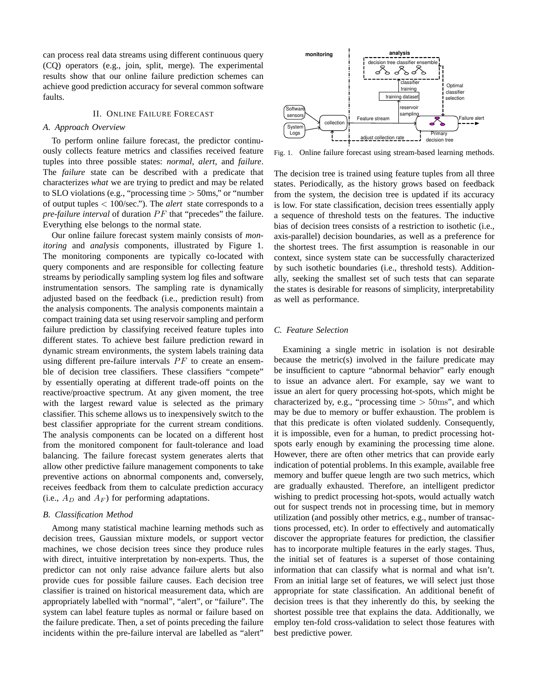can process real data streams using different continuous query (CQ) operators (e.g., join, split, merge). The experimental results show that our online failure prediction schemes can achieve good prediction accuracy for several common software faults.

# II. ONLINE FAILURE FORECAST

#### *A. Approach Overview*

To perform online failure forecast, the predictor continuously collects feature metrics and classifies received feature tuples into three possible states: *normal*, *alert*, and *failure*. The *failure* state can be described with a predicate that characterizes *what* we are trying to predict and may be related to SLO violations (e.g., "processing time > 50ms," or "number of output tuples < 100/sec."). The *alert* state corresponds to a *pre-failure interval* of duration PF that "precedes" the failure. Everything else belongs to the normal state.

Our online failure forecast system mainly consists of *monitoring* and *analysis* components, illustrated by Figure 1. The monitoring components are typically co-located with query components and are responsible for collecting feature streams by periodically sampling system log files and software instrumentation sensors. The sampling rate is dynamically adjusted based on the feedback (i.e., prediction result) from the analysis components. The analysis components maintain a compact training data set using reservoir sampling and perform failure prediction by classifying received feature tuples into different states. To achieve best failure prediction reward in dynamic stream environments, the system labels training data using different pre-failure intervals  $PF$  to create an ensemble of decision tree classifiers. These classifiers "compete" by essentially operating at different trade-off points on the reactive/proactive spectrum. At any given moment, the tree with the largest reward value is selected as the primary classifier. This scheme allows us to inexpensively switch to the best classifier appropriate for the current stream conditions. The analysis components can be located on a different host from the monitored component for fault-tolerance and load balancing. The failure forecast system generates alerts that allow other predictive failure management components to take preventive actions on abnormal components and, conversely, receives feedback from them to calculate prediction accuracy (i.e.,  $A_D$  and  $A_F$ ) for performing adaptations. II. ONLINE FAILURE FORECAST<br>
A. Approach Overview<br>
To perform online failure forecast, the predictor continu-<br>
To perform online failure forecast, the predictor continu-<br>
luples into three possible stants: and classifies

## *B. Classification Method*

Among many statistical machine learning methods such as decision trees, Gaussian mixture models, or support vector machines, we chose decision trees since they produce rules with direct, intuitive interpretation by non-experts. Thus, the predictor can not only raise advance failure alerts but also provide cues for possible failure causes. Each decision tree classifier is trained on historical measurement data, which are appropriately labelled with "normal", "alert", or "failure". The system can label feature tuples as normal or failure based on the failure predicate. Then, a set of points preceding the failure



Fig. 1. Online failure forecast using stream-based learning methods.

The decision tree is trained using feature tuples from all three states. Periodically, as the history grows based on feedback from the system, the decision tree is updated if its accuracy is low. For state classification, decision trees essentially apply a sequence of threshold tests on the features. The inductive bias of decision trees consists of a restriction to isothetic (i.e., axis-parallel) decision boundaries, as well as a preference for the shortest trees. The first assumption is reasonable in our context, since system state can be successfully characterized by such isothetic boundaries (i.e., threshold tests). Additionally, seeking the smallest set of such tests that can separate the states is desirable for reasons of simplicity, interpretability as well as performance.

## *C. Feature Selection*

Examining a single metric in isolation is not desirable because the metric(s) involved in the failure predicate may be insufficient to capture "abnormal behavior" early enough to issue an advance alert. For example, say we want to issue an alert for query processing hot-spots, which might be characterized by, e.g., "processing time  $> 50$ ms", and which may be due to memory or buffer exhaustion. The problem is that this predicate is often violated suddenly. Consequently, it is impossible, even for a human, to predict processing hotspots early enough by examining the processing time alone. However, there are often other metrics that can provide early indication of potential problems. In this example, available free memory and buffer queue length are two such metrics, which are gradually exhausted. Therefore, an intelligent predictor wishing to predict processing hot-spots, would actually watch out for suspect trends not in processing time, but in memory utilization (and possibly other metrics, e.g., number of transactions processed, etc). In order to effectively and automatically discover the appropriate features for prediction, the classifier has to incorporate multiple features in the early stages. Thus, the initial set of features is a superset of those containing information that can classify what is normal and what isn't. From an initial large set of features, we will select just those appropriate for state classification. An additional benefit of decision trees is that they inherently do this, by seeking the shortest possible tree that explains the data. Additionally, we employ ten-fold cross-validation to select those features with best predictive power.